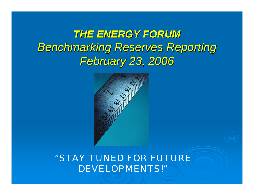*THE ENERGY FORUM THE ENERGY FORUM***Benchmarking Reserves Reporting** *February 23, 2006 February 23, 2006*



*"STAY TUNED FOR FUTURE DEVELOPMENTS!"*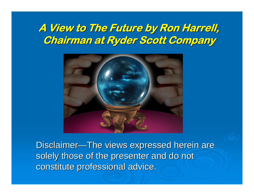#### **A View to The Future by Ron Harrell, A View to The Future by Ron Harrell, Chairman at Ryder Scott Company**



Disclaimer—The views expressed herein are solely those of the presenter and do not constitute professional advice.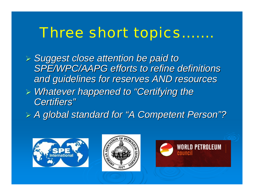## *Three short topics…….*

- ¾ *Suggest close attention be paid to Suggest close attention be paid to*  SPE/WPC/AAPG efforts to refine definitions *and guidelines for reserves AND resources and guidelines for reserves AND resources*
- ¾ *Whatever happened to Whatever happened to "Certifying the Certifying the Certifiers Certifiers "*
- $\triangleright$  *A global standard for "A Competent Person" ?*





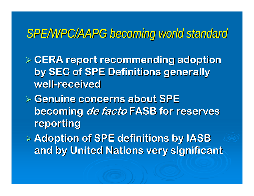### *SPE/WPC/AAPG becoming world standard SPE/WPC/AAPG becoming world standard*

¾ **CERA report recommending adoption CERA report recommending adoption by SEC of SPE Definitions generally by SEC of SPE Definitions generally well -received received**

¾ **Genuine concerns about SPE Genuine concerns about SPE**  becoming *de facto* FASB for reserves **reporting reporting** 

¾ **Adoption of SPE definitions by IASB Adoption of SPE definitions by IASB and by United Nations very significant and by United Nations very significant**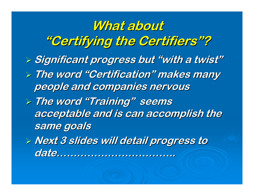### What about **"Certifying the Certifiers Certifying the Certifiers"?**

- ¾ **Significant progress but Significant progress but "with a twist with a twist"**
- ¾ **The word The word "Certification Certification" makes many makes many people and companies nervous people and companies nervous**
- ¾ **The word The word "Training Training" seems**  acceptable and is can accomplish the **same goals same goals**
- ¾ **Next 3 slides will detail progress to Next 3 slides will detail progress to date…………………………………………………………..**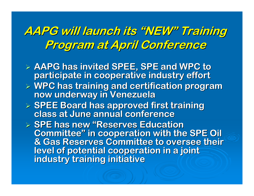**AAPG will launch its AAPG will launch its "NEW" Training Training Program at April Conference Program at April Conference**

- ¾ **AAPG has invited SPEE, SPE and WPC to AAPG has invited SPEE, SPE and WPC to participate in cooperative industry effort participate in cooperative industry effort**
- ¾ **WPC has training and certification program WPC has training and certification program now underway in Venezuela now underway in Venezuela**
- ¾ **SPEE Board has approved first training SPEE Board has approved first training class at June annual conferenceclass at June annual conference**

**Exage F SPE has new "Reserves Education & Committee Committee "& Gas Reserves Committee to oversee their level of potential cooperation in a joint level of potential cooperation in a joint industry training initiative industry training initiative**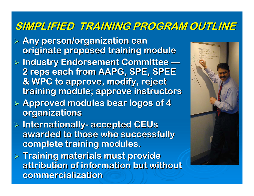#### **SIMPLIFIED TRAINING PROGRAM OUTLINE SIMPLIFIED TRAINING PROGRAM OUTLINE**

- ¾ **Any person/organization can Any person/organization can originate proposed training module originate proposed training module**
- ¾ **Industry Endorsement Committee Industry Endorsement Committee — 2 reps each from AAPG, SPE, SPEE 2 reps each from AAPG, SPE, SPEE & WPC to approve, modify, reject & WPC to approve, modify, reject training module; approve instructors training module; approve instructors**
- ¾ **Approved modules bear logos of 4 Approved modules bear logos of 4 organizations organizations**
- ¾ **Internationally Internationally accepted CEUs accepted CEUs awarded to those who successfully awarded to those who successfully complete training modules. complete training modules.**
- ¾ **Training materials must provide Training materials must provide attribution of information but without attribution of information but without commercialization commercialization**

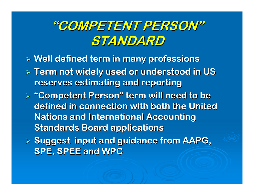### **"COMPETENT PERSON COMPETENT PERSON" STANDARD STANDARD**

- ¾ **Well defined term in many professions Well defined term in many professions**
- ¾ **Term not widely used or understood in US Term not widely used or understood in US reserves estimating and reporting reserves estimating and reporting**
- $\triangleright$  "Competent Person" term will need to be defined in connection with both the United **Nations and International Accounting Standards Board applications**
- ¾ **Suggest input and guidance from AAPG, Suggest input and guidance from AAPG, SPE, SPEE and WPC SPE, SPEE and WPC**